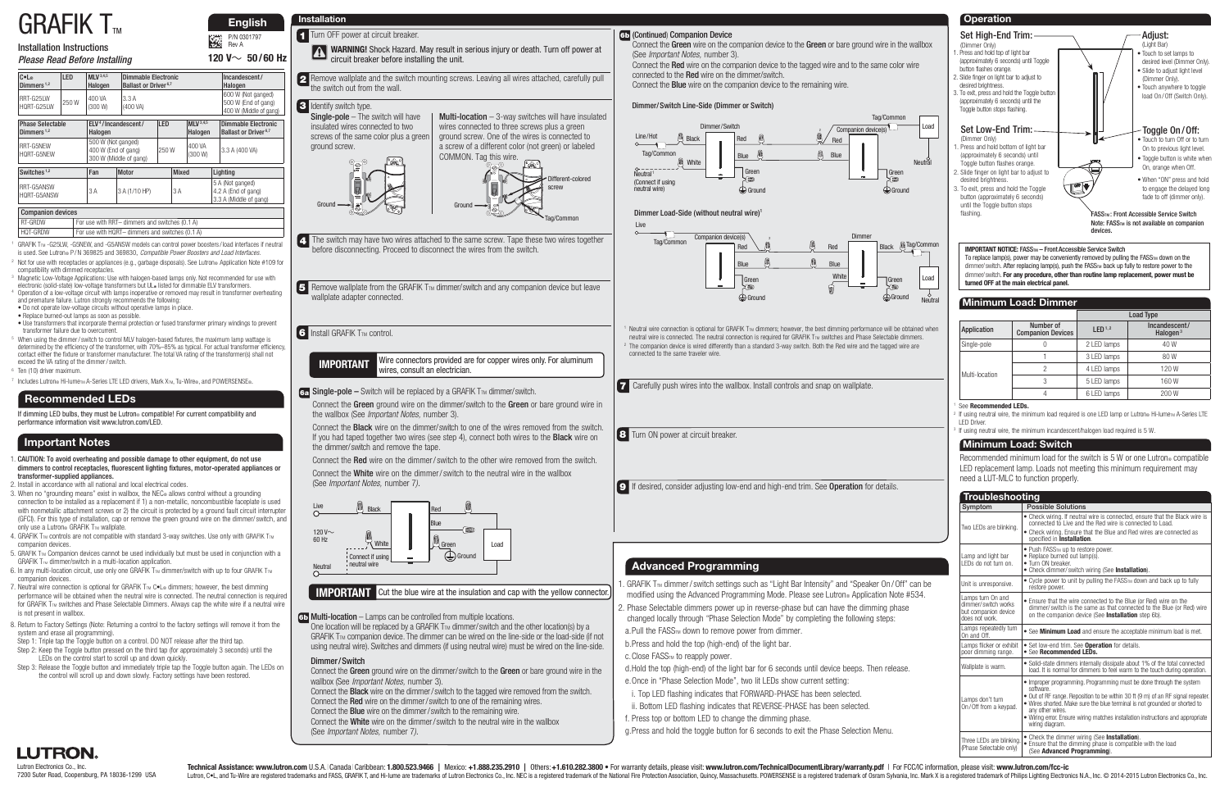# $GRAFIK$  T<sub>m</sub>

## Installation Instructions

#### Please Read Before Installing

P/N 0301797 Rev A

#### LUTRON. Lutron Electronics Co., Inc. 7200 Suter Road, Coopersburg, PA 18036-1299 USA

Technical Assistance: www.lutron.com U.S.A. | Canada | Caribbean: 1.800.523.9466 | Mexico: +1.888.235.2910 | Others: +1.610.282.3800 . For warranty details. please visit: www.lutron.com/TechnicalDocumentLibrary/warranty.pd Lutron, C.L., and Tu-Wire are registered trademarks and FASS, GRAFIK T, and Hi-lume are trademarks of Lutron Electronics Co., Inc. NEC is a registered trademark of the National Fire Protection Association, Quincy, Massachu

- 1. CAUTION: To avoid overheating and possible damage to other equipment, do not use dimmers to control receptacles, fluorescent lighting fixtures, motor-operated appliances or transformer-supplied appliances.
- 2. Install in accordance with all national and local electrical codes.
- 3. When no "grounding means" exist in wallbox, the NEC® allows control without a grounding connection to be installed as a replacement if 1) a non-metallic, noncombustible faceplate is used with nonmetallic attachment screws or 2) the circuit is protected by a ground fault circuit interrupter (GFCI). For this type of installation, cap or remove the green ground wire on the dimmer/ switch, and only use a Lutron® GRAFIK  $T_{\text{TM}}$  wallplate.
- 4. GRAFIK TTM controls are not compatible with standard 3-way switches. Use only with GRAFIK TTM companion devices.
- 5. GRAFIK TTM Companion devices cannot be used individually but must be used in conjunction with a GRAFIK  $T_{\text{TM}}$  dimmer/switch in a multi-location application.
- 6. In any multi-location circuit, use only one GRAFIK T<sub>IM</sub> dimmer/switch with up to four GRAFIK T<sub>IM</sub> companion devices.
- 7. Neutral wire connection is optional for GRAFIK  $T_{TM}$  C $\bullet$  L<sup>®</sup> dimmers; however, the best dimming performance will be obtained when the neutral wire is connected. The neutral connection is required for GRAFIK T<sub>IM</sub> switches and Phase Selectable Dimmers. Always cap the white wire if a neutral wire is not present in wallbox.
- 8. Return to Factory Settings (Note: Returning a control to the factory settings will remove it from the system and erase all programming).
- Step 1: Triple tap the Toggle button on a control. DO NOT release after the third tap.
- Step 2: Keep the Toggle button pressed on the third tap (for approximately 3 seconds) until the LEDs on the control start to scroll up and down quickly.
- Step 3: Release the Toggle button and immediately triple tap the Toggle button again. The LEDs on the control will scroll up and down slowly. Factory settings have been restored.

If dimming LED bulbs, they must be Lutron® compatible! For current compatibility and performance information visit www.lutron.com/LED.

- Replace burned-out lamps as soon as possible.
- Use transformers that incorporate thermal protection or fused transformer primary windings to prevent transformer failure due to overcurrent.
- When using the dimmer/switch to control MLV halogen-based fixtures, the maximum lamp wattage is determined by the efficiency of the transformer, with 70%–85% as typical. For actual transformer efficiency, contact either the fixture or transformer manufacturer. The total VA rating of the transformer(s) shall not exceed the VA rating of the dimmer / switch.
- 6 Ten (10) driver maximum.
- Includes Lutron® Hi-lume<sub>TM</sub> A-Series LTE LED drivers, Mark X<sub>TM</sub>, Tu-Wire®, and POWERSENSE®.

Connect the **Black** wire on the dimmer/ switch to one of the wires removed from the switch. If you had taped together two wires (see step 4), connect both wires to the **Black** wire on the dimmer/ switch and remove the tape.

## **Important Notes**

## **Recommended LEDs**

- 4. The switch may have two wires attached to the same screw. Tape these two wires together before disconnecting. Proceed to disconnect the wires from the switch.
- 5 Remove wallplate from the GRAFIK T<sub>IM</sub> dimmer/ switch and any companion device but leave wallplate adapter connected.

6 Install GRAFIK T<sub>™</sub> control.

2 Remove wallplate and the switch mounting screws. Leaving all wires attached, carefully pull the switch out from the wall.

#### **3** Identify switch type.

- 1 GRAFIK TTM -G25LW, -G5NEW, and -G5ANSW models can control power boosters/load interfaces if neutral is used. See Lutron® P / N 369825 and 369830, Compatible Power Boosters and Load Interfaces.
- Not for use with receptacles or appliances (e.g., garbage disposals). See Lutron® Application Note #109 for compatibility with dimmed receptacles. compatibility with dimmed receptacles.<br><sup>3</sup> Magnetic Low-Voltage Applications: Use with halogen-based lamps only. Not recommended for use with
- electronic (solid-state) low-voltage transformers but UL® listed for dimmable ELV transformers.<br>4 Operation of a low-voltage circuit with lamps inoperative or removed may result in transformer overheating
- and premature failure. Lutron strongly recommends the following:

To replace lamp(s), power may be conveniently removed by pulling the FASS $_{\text{TM}}$  down on the dimmer/ switch. After replacing lamp(s), push the FASSTM back up fully to restore power to the dimmer/ switch. **For any procedure, other than routine lamp replacement, power must be turned OFF at the main electrical panel.**

#### **IMPORTANT** Wire connectors provided are for copper wires only. For aluminum wires, consult an electrician.

#### 6a Single-pole – Switch will be replaced by a GRAFIK T<sub>M</sub> dimmer/switch.

Connect the Green ground wire on the dimmer/ switch to the Green or bare ground wire in the wallbox (See *Important Notes*, number 3).

• Do not operate low-voltage circuits without operative lamps in place.

Connect the Green wire on the companion device to the Green or bare ground wire in the wallbox (See Important Notes, number 3).

One location will be replaced by a GRAFIK  $T_{TM}$  dimmer/ switch and the other location(s) by a  $GRAFK$  T<sub>TM</sub> companion device. The dimmer can be wired on the line-side or the load-side (if not using neutral wire). Switches and dimmers (if using neutral wire) must be wired on the line-side.

 **English**

**120 V** $\sim$  50/60 Hz

**1** Turn OFF power at circuit breaker.

Recommended minimum load for the switch is 5 W or one Lutron® compatible LED replacement lamp. Loads not meeting this minimum requirement may need a LUT-MLC to function properly.

Connect the Red wire on the dimmer / switch to the other wire removed from the switch.

Connect the White wire on the dimmer / switch to the neutral wire in the wallbox (See Important Notes, number 7).

FASSTM: Front Accessible Service Switch Note: FASSTM is not available on companion devices.

#### **IMPORTANT NOTICE: FASSTM - Front Accessible Service Switch**

Single-pole – The switch will have insulated wires connected to two screws of the same color plus a green ground screw.



**Multi-location**  $-$  3-way switches will have insulated

COMMON. Tag this wire. Ground Different-colored

 $\overline{\text{Comparison}}$  devices  $\overline{\text{Tag/Common}}$ 



**1 WARNING!** Shock Hazard. May result in serious injury or death. Turn off power at circuit breaker before installing the unit.

#### **6b** (Continued) Companion Device

1 Neutral wire connection is optional for GRAFIK T<sub>M</sub> dimmers; however, the best dimming performance will be obtained when<br>neutral wire is connected. The neutral connection is required for GRAFIK T<sub>M</sub> switches and Phase Sele neutral wire is connected. The neutral connection is required for GRAFIK Tm switches and Phase Selectable dimmers.<br><sup>2</sup> The companion device is wired differently than a standard 3-way switch. Both the Red wire and the tagge connected to the same traveler wire.

Connect the **Black** wire on the dimmer/switch to the tagged wire removed from the switch. Connect the Red wire on the dimmer / switch to one of the remaining wires.

Connect the Red wire on the companion device to the tagged wire and to the same color wire connected to the Red wire on the dimmer/switch. Connect the Blue wire on the companion device to the remaining wire.

## **Installation**

Multi-location – Lamps can be controlled from multiple locations. **6b**

|                |                                       |                    | <b>Load Type</b>                      |
|----------------|---------------------------------------|--------------------|---------------------------------------|
| Application    | Number of<br><b>Companion Devices</b> | LED <sup>1,2</sup> | Incandescent/<br>Halogen <sup>3</sup> |
| Single-pole    |                                       | 2 LED lamps        | 40 W                                  |
| Multi-location |                                       | 3 LED lamps        | 80W                                   |
|                |                                       | 4 LED lamps        | 120W                                  |
|                | 3                                     | 5 LED lamps        | 160W                                  |
|                |                                       | 6 LED lamps        | 200 W                                 |

#### **Minimum Load: Dimmer**

#### See **Recommended LEDs.**

2 If using neutral wire, the minimum load required is one LED lamp or Lutron® Hi-lumeTM A-Series LTE LED Driver.

If using neutral wire, the minimum incandescent/halogen load required is 5 W.

#### **Minimum Load: Switch**

**9** If desired, consider adjusting low-end and high-end trim. See Operation for details.



| C•L®<br>Dimmers <sup>1,2</sup>           | LED   | <b>MLV</b> 3,4,5<br>Halogen                                         | <b>Dimmable Electronic</b><br>Ballast or Driver <sup>6,7</sup> |                                    |                                                                     |  |                | Incandescent/<br>Halogen                                          |
|------------------------------------------|-------|---------------------------------------------------------------------|----------------------------------------------------------------|------------------------------------|---------------------------------------------------------------------|--|----------------|-------------------------------------------------------------------|
| RRT-G25IW<br>HQRT-G25LW                  | 250 W | 400 VA<br>(300 W)                                                   | 3.3 A<br>(400 VA)                                              |                                    | 600 W (Not ganged)<br>500 W (End of gang)<br>400 W (Middle of gang) |  |                |                                                                   |
| <b>Phase Selectable</b><br>Dimmers $1,2$ |       | Halogen                                                             | ELV <sup>4</sup> /Incandescent/                                | LED<br><b>MLV</b> 3,4,5<br>Halogen |                                                                     |  |                | Dimmable Electronic<br>Ballast or Driver <sup>6,7</sup>           |
| RRT-G5NFW<br>HQRT-G5NEW                  |       | 500 W (Not ganged)<br>400 W (End of gang)<br>300 W (Middle of gang) |                                                                | 400 VA<br>250W<br>(300 W)          |                                                                     |  | 3.3 A (400 VA) |                                                                   |
| Switches <sup>1,2</sup>                  |       | Fan                                                                 | Motor                                                          |                                    | <b>Mixed</b>                                                        |  |                | Lighting                                                          |
| RRT-G5ANSW<br>3A<br>HQRT-G5ANSW          |       |                                                                     | 3 A (1/10 HP)                                                  |                                    | 3A                                                                  |  |                | 5 A (Not ganged)<br>4.2 A (End of gang)<br>3.3 A (Middle of gang) |
| Companion devices                        |       |                                                                     |                                                                |                                    |                                                                     |  |                |                                                                   |

RT-GRDW For use with RRT– dimmers and switches (0.1 A) HOT-GRDW **For use with HORT– dimmers and switches (0.1 A)** 

|  | 7 Carefully push wires into the wallbox. Install controls and snap on wallplate. |  |  |
|--|----------------------------------------------------------------------------------|--|--|
|--|----------------------------------------------------------------------------------|--|--|

**8** Turn ON power at circuit breaker.



#### **IMPORTANT** Cut the blue wire at the insulation and cap with the yellow connector

| <b>Troubleshooting</b>                                                            |                                                                                                                                                                                                                                                                                                                                                                              |
|-----------------------------------------------------------------------------------|------------------------------------------------------------------------------------------------------------------------------------------------------------------------------------------------------------------------------------------------------------------------------------------------------------------------------------------------------------------------------|
| Symptom                                                                           | <b>Possible Solutions</b>                                                                                                                                                                                                                                                                                                                                                    |
| Two LEDs are blinking.                                                            | • Check wiring. If neutral wire is connected, ensure that the Black wire is<br>connected to I ive and the Red wire is connected to Load.<br>• Check wiring. Ensure that the Blue and Red wires are connected as<br>specified in Installation.                                                                                                                                |
| Lamp and light bar<br>I FDs do not turn on.                                       | • Push FASSTM up to restore power.<br>• Replace burned out lamp(s).<br>· Turn ON breaker.<br>• Check dimmer/ switch wiring (See Installation).                                                                                                                                                                                                                               |
| Unit is unresponsive.                                                             | • Cycle power to unit by pulling the FASS <sub>TM</sub> down and back up to fully<br>restore power.                                                                                                                                                                                                                                                                          |
| Lamps turn On and<br>dimmer/switch works<br>but companion device<br>does not work | • Ensure that the wire connected to the Blue (or Red) wire on the<br>dimmer/switch is the same as that connected to the Blue (or Red) wire<br>on the companion device (See Installation step 6b).                                                                                                                                                                            |
| Lamps repeatedly turn<br>On and Off.                                              | • See Minimum Load and ensure the acceptable minimum load is met.                                                                                                                                                                                                                                                                                                            |
| Lamps flicker or exhibit<br>poor dimming range.                                   | • Set low-end trim. See <b>Operation</b> for details.<br>• See Recommended LEDs.                                                                                                                                                                                                                                                                                             |
| Wallplate is warm.                                                                | • Solid-state dimmers internally dissipate about 1% of the total connected<br>load. It is normal for dimmers to feel warm to the touch during operation.                                                                                                                                                                                                                     |
| Lamps don't turn<br>On/Off from a keypad.                                         | • Improper programming. Programming must be done through the system<br>software.<br>• Out of RF range. Reposition to be within 30 ft (9 m) of an RF signal repeater.<br>. Wires shorted. Make sure the blue terminal is not grounded or shorted to<br>any other wires.<br>• Wiring error. Ensure wiring matches installation instructions and appropriate<br>wiring diagram. |
| Three LEDs are blinking.<br>(Phase Selectable only)                               | • Check the dimmer wiring (See Installation).<br>• Ensure that the dimming phase is compatible with the load<br>(See Advanced Programming).                                                                                                                                                                                                                                  |



Load

Neutral

Tag/Common

Dimmer/ Switch Line-Side (Dimmer or Switch)



#### Dimmer Load-Side (without neutral wire)<sup>1</sup>

Dimmer / Switch

Connect the Green ground wire on the dimmer/ switch to the Green or bare ground wire in the wallbox (See Important Notes, number 3).

Connect the Blue wire on the dimmer / switch to the remaining wire.

Connect the White wire on the dimmer / switch to the neutral wire in the wallbox (See Important Notes, number 7).

 d. Hold the top (high-end) of the light bar for 6 seconds until device beeps. Then release. e. Once in "Phase Selection Mode", two lit LEDs show current setting:

- i. Top LED flashing indicates that FORWARD-PHASE has been selected.
- ii. Bottom LED flashing indicates that REVERSE-PHASE has been selected.
- f. Press top or bottom LED to change the dimming phase.
- g. Press and hold the toggle button for 6 seconds to exit the Phase Selection Menu.

## **Advanced Programming**

- . GRAFIK  $T_{\text{TM}}$  dimmer/switch settings such as "Light Bar Intensity" and "Speaker On/Off" can be modified using the Advanced Programming Mode. Please see Lutron® Application Note #534.
- 2. Phase Selectable dimmers power up in reverse-phase but can have the dimming phase changed locally through "Phase Selection Mode" by completing the following steps:
- a. Pull the FASS<sub>TM</sub> down to remove power from dimmer.
- b. Press and hold the top (high-end) of the light bar.
- c. Close FASS<sub>TM</sub> to reapply power.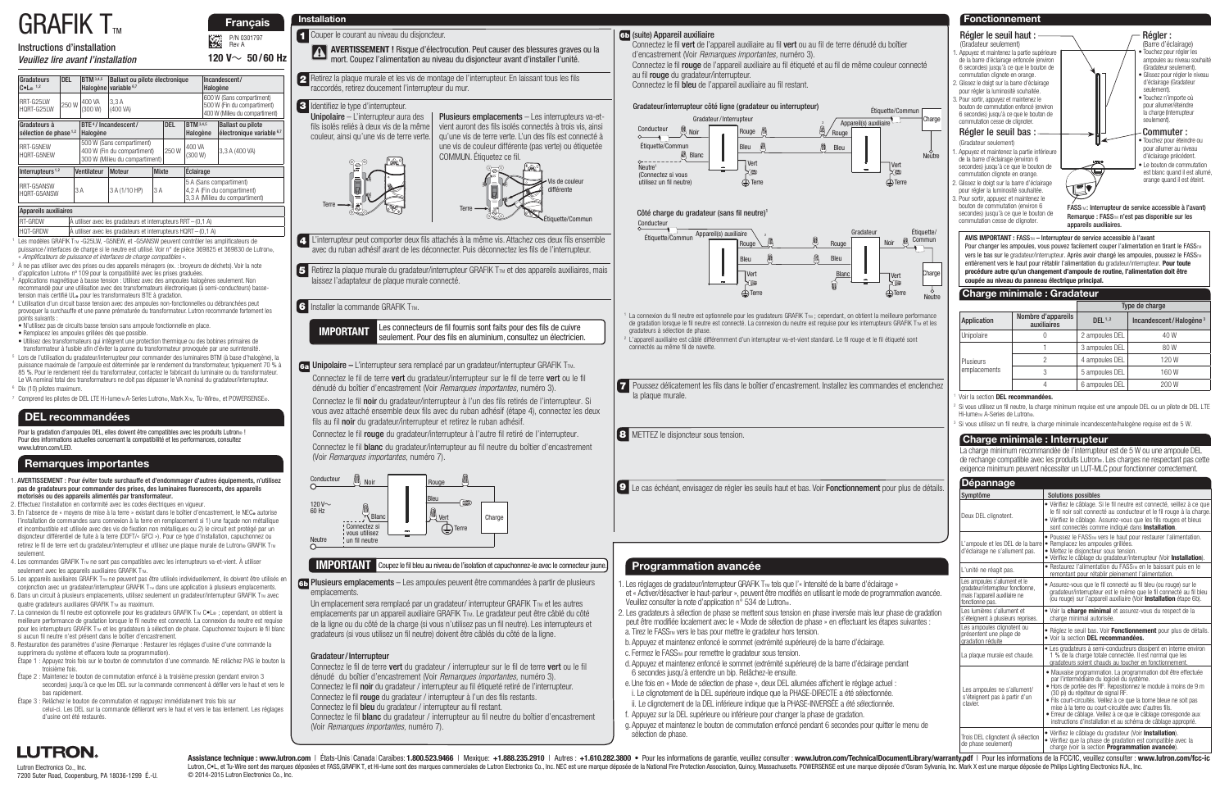# $GRAF$ IK T

Instructions d'installation

#### Veuillez lire avant l'installation

P/N 0301797 Rev A

<u>ра</u>

Lutron Electronics Co., Inc. 7200 Suter Road, Coopersburg, PA 18036-1299 É.-U.

1. AVERTISSEMENT : Pour éviter toute surchauffe et d'endommager d'autres équipements, n'utilisez pas de gradateurs pour commander des prises, des luminaires fluorescents, des appareils motorisés ou des appareils alimentés par transformateur.

2. Effectuez l'installation en conformité avec les codes électriques en vigueur.

- 3. En l'absence de « moyens de mise à la terre » existant dans le boîtier d'encastrement, le NEC autorise l'installation de commandes sans connexion à la terre en remplacement si 1) une façade non métallique et incombustible est utilisée avec des vis de fixation non métalliques ou 2) le circuit est protégé par un disjoncteur différentiel de fuite à la terre (DDFT/« GFCI »). Pour ce type d'installation, capuchonnez ou retirez le fil de terre vert du gradateur/interrupteur et utilisez une plaque murale de Lutron® GRAFIK T<sub>IM</sub> seulement.
- 4. Les commandes GRAFIK TTM ne sont pas compatibles avec les interrupteurs va-et-vient. À utiliser seulement avec les appareils auxiliaires GRAFIK TTM.
- 5. Les appareils auxiliaires GRAFIK T<sub>IM</sub> ne peuvent pas être utilisés individuellement, ils doivent être utilisés en conjonction avec un gradateur/interrupteur GRAFIK  $T_{\text{TM}}$  dans une application à plusieurs emplacements. 6. Dans un circuit à plusieurs emplacements, utilisez seulement un gradateur/interrupteur GRAFIK  $T_{\text{TM}}$  avec
- quatre gradateurs auxiliaires GRAFIK TTM au maximum.
- 7. La connexion du fil neutre est optionnelle pour les gradateurs GRAFIK T<sub>IM</sub> C.L® ; cependant, on obtient la meilleure performance de gradation lorsque le fil neutre est connecté. La connexion du neutre est requise pour les interrupteurs GRAFIK T<sub>IM</sub> et les gradateurs à sélection de phase. Capuchonnez toujours le fil blanc si aucun fil neutre n'est présent dans le boîtier d'encastrement.
- 8. Restauration des paramètres d'usine (Remarque : Restaurer les réglages d'usine d'une commande la supprimera du système et effacera toute sa programmation).
- Étape 1 : Appuyez trois fois sur le bouton de commutation d'une commande. NE relâchez PAS le bouton la troisième fois.
- Étape 2 : Maintenez le bouton de commutation enfoncé à la troisième pression (pendant environ 3 secondes) jusqu'à ce que les DEL sur la commande commencent à défiler vers le haut et vers le bas rapidement.
- Étape 3 : Relâchez le bouton de commutation et rappuyez immédiatement trois fois sur celui-ci. Les DEL sur la commande défileront vers le haut et vers le bas lentement. Les réglages d'usine ont été restaurés.

Pour la gradation d'ampoules DEL, elles doivent être compatibles avec les produits Lutron® ! Pour des informations actuelles concernant la compatibilité et les performances, consultez www.lutron.com/LED.

- 1 Les modèles GRAFIK TTM -G25LW, -G5NEW, et -G5ANSW peuvent contrôler les amplificateurs de puissance / interfaces de charge si le neutre est utilisé. Voir n° de pièce 369825 et 369830 de Lutron®, « Amplificateurs de puissance et interfaces de charge compatibles ».
- 2 À ne pas utiliser avec des prises ou des appareils ménagers (ex. : broyeurs de déchets). Voir la note d'application Lutron® nº 109 pour la compatibilité avec les prises graduées. Applications magnétique à basse tension : Utilisez avec des ampoules halogènes seulement. Non
- recommandé pour une utilisation avec des transformateurs électroniques (à semi-conducteurs) bassetension mais certifié UL® pour les transformateurs BTE à gradation. L'utilisation d'un circuit basse tension avec des ampoules non-fonctionnelles ou débranchées peut
- provoquer la surchauffe et une panne prématurée du transformateur. Lutron recommande fortement les points suivants : • N'utilisez pas de circuits basse tension sans ampoule fonctionnelle en place.
- Remplacez les ampoules grillées dès que possible.
- 
- Utilisez des transformateurs qui intègrent une protection thermique ou des bobines primaires de transformateur à fusible afin d'éviter la panne du transformateur provoquée par une surintensité.
- 5 Lors de l'utilisation du gradateur/interrupteur pour commander des luminaires BTM (à base d'halogène), la puissance maximale de l'ampoule est déterminée par le rendement du transformateur, typiquement 70 % à 85 %. Pour le rendement réel du transformateur, contactez le fabricant du luminaire ou du transformateur. Le VA nominal total des transformateurs ne doit pas dépasser le VA nominal du gradateur/interrupteur.
- 6 Dix (10) pilotes maximum.
- Comprend les pilotes de DEL LTE Hi-lume<sub>TM</sub> A-Series Lutron®, Mark XTM, Tu-Wire®, et POWERSENSE®.

#### **Remarques importantes**

**120 V**~ **50 / 60 Hz**

**1** Couper le courant au niveau du disjoncteur.

#### **DEL recommandées**

6a Unipolaire – L'interrupteur sera remplacé par un gradateur/interrupteur GRAFIK T<sub>M</sub>. Connectez le fil de terre vert du gradateur/interrupteur sur le fil de terre vert ou le fil dénudé du boîtier d'encastrement (Voir Remarques importantes, numéro 3).

Connectez le fil noir du gradateur/interrupteur à l'un des fils retirés de l'interrupteur. Si vous avez attaché ensemble deux fils avec du ruban adhésif (étape 4), connectez les deux fils au fil noir du gradateur/interrupteur et retirez le ruban adhésif.

Connectez le fil rouge du gradateur/interrupteur à l'autre fil retiré de l'interrupteur. Connectez le fil blanc du gradateur/interrupteur au fil neutre du boîtier d'encastrement (Voir Remarques importantes, numéro 7).

d'encastrement (Voir Remarques importantes, numéro 3).

au fil rouge du gradateur/interrupteur.

- 4. L'interrupteur peut comporter deux fils attachés à la même vis. Attachez ces deux fils ensemble avec du ruban adhésif avant de les déconnecter. Puis déconnectez les fils de l'interrupteur.
- 5 Retirez la plaque murale du gradateur/interrupteur GRAFIK T<sub>M</sub> et des appareils auxiliaires, mais laissez l'adaptateur de plaque murale connecté.

**6** Installer la commande GRAFIK TTM.

Connectez le fil bleu de l'appareil auxiliaire au fil restant.

2 Retirez la plaque murale et les vis de montage de l'interrupteur. En laissant tous les fils raccordés, retirez doucement l'interrupteur du mur.

RT-GRDW **A** utiliser avec les gradateurs et interrupteurs RRT – (0,1 A) HQT-GRDW À utiliser avec les gradateurs et interrupteurs HQRT – (0,1 A)

> Un emplacement sera remplacé par un gradateur/ interrupteur GRAFIK  $T_{TM}$  et les autres emplacements par un appareil auxiliaire GRAFIK TTM. Le gradateur peut être câblé du côté de la ligne ou du côté de la charge (si vous n'utilisez pas un fil neutre). Les interrupteurs et gradateurs (si vous utilisez un fil neutre) doivent être câblés du côté de la ligne.

#### (suite) Appareil auxiliaire **6b**

Assistance technique : www.lutron.com | États-Unis|Canada |Caraïbes: 1.800.523.9466 | Mexique: +1.888.235.2910 | Autres : +1.610.282.3800 . Pour les informations de garantie, veuillez consulter : www.lutron.com/TechnicalDo Lutron, C.L., et Tu-Wire sont des marques déposées et FASS, GRAFIK T, et Hi-lume sont des marques commerciales de Lutron Electronics Oc., Inc. NEC est une marque déposée de la National Fire Protection Association, Quincy, © 2014-2015 Lutron Electronics Co., Inc.

 **Français**

**AVERTISSEMENT !** Risque d'électrocution. Peut causer des blessures graves ou la mort. Coupez l'alimentation au niveau du disjoncteur avant d'installer l'unité.

Connectez le fil de terre vert du gradateur / interrupteur sur le fil de terre vert ou le fil dénudé du boîtier d'encastrement (Voir Remarques importantes, numéro 3). Connectez le fil noir du gradateur / interrupteur au fil étiqueté retiré de l'interrupteur. Connectez le fil rouge du gradateur / interrupteur à l'un des fils restants. Connectez le fil bleu du gradateur / interrupteur au fil restant.

Unipolaire – L'interrupteur aura des fils isolés reliés à deux vis de la même couleur, ainsi qu'une vis de terre verte.

Plusieurs emplacements – Les interrupteurs va-etvient auront des fils isolés connectés à trois vis, ainsi qu'une vis de terre verte. L'un des fils est connecté à une vis de couleur différente (pas verte) ou étiquetée COMMUN. Étiquetez ce fil.

Terre







#### **IMPORTANT** Coupez le fil bleu au niveau de l'isolation et capuchonnez-le avec le connecteur jaune.

**IMPORTANT** Les connecteurs de fil fournis sont faits pour des fils de cuivre seulement. Pour des fils en aluminium, consultez un électricien.

#### Identifiez le type d'interrupteur. **3**

gradateurs à sélection de phase.

2 connectés au même fil de navette.

#### **Installation**

Plusieurs emplacements – Les ampoules peuvent être commandées à partir de plusieurs **6b** emplacements.

- . Les réglages de gradateur/interrupteur GRAFIK T<sub>IM</sub> tels que l'« Intensité de la barre d'éclairage » Veuillez consulter la note d'application n° 534 de Lutron®.
- 
- 
- 
- d. Appuyez et maintenez enfoncé le sommet (extrémité supérieure) de la barre d'éclairage pendant 6 secondes jusqu'à entendre un bip. Relâchez-le ensuite.
- e. Une fois en « Mode de sélection de phase », deux DEL allumées affichent le réglage actuel : i. Le clignotement de la DEL supérieure indique que la PHASE-DIRECTE a été sélectionnée.
- ii. Le clignotement de la DEL inférieure indique que la PHASE-INVERSÉE a été sélectionnée.
- f. Appuyez sur la DEL supérieure ou inférieure pour changer la phase de gradation.
- sélection de phase.

## **LUTRON.**

| Gradateurs<br>$C \cdot L_{\infty}$ 1,2   | <b>DEL</b>            | <b>BTM</b> 3,4,5<br>Halogène | Ballast ou pilote électronique<br>variable 6,7                                             |                           |    | Halogène                     | Incandescent/                                                                              |                                                                  |  |
|------------------------------------------|-----------------------|------------------------------|--------------------------------------------------------------------------------------------|---------------------------|----|------------------------------|--------------------------------------------------------------------------------------------|------------------------------------------------------------------|--|
| RRT-G25IW<br>HORT-G25IW                  | 250W                  | 400 VA<br>(300 W)            | 3.3A<br>(400 VA)                                                                           |                           |    |                              | 600 W (Sans compartiment)<br>500 W (Fin du compartiment)<br>400 W (Milieu du compartiment) |                                                                  |  |
| Gradateurs à<br>sélection de phase $1,2$ |                       | Halogène                     | BTE <sup>4</sup> /Incandescent/                                                            |                           |    | <b>BTM</b> 3,4,5<br>Halogène |                                                                                            | <b>Ballast ou pilote</b><br>électronique variable <sup>6,7</sup> |  |
| RRT-G5NFW<br>HORT-G5NFW                  |                       |                              | 500 W (Sans compartiment)<br>400 W (Fin du compartiment)<br>300 W (Milieu du compartiment) |                           |    | 400 VA<br>(300 W)            |                                                                                            | 3,3 A (400 VA)                                                   |  |
| Interrupteurs <sup>1,2</sup>             | Ventilateur<br>Moteur |                              |                                                                                            | <b>Mixte</b><br>Éclairage |    |                              |                                                                                            |                                                                  |  |
| RRT-G5ANSW<br>HORT-G5ANSW                |                       | 3A                           | 3 A (1/10 HP)                                                                              |                           | 3A |                              | 5 A (Sans compartiment)<br>4,2 A (Fin du compartiment)<br>3,3 A (Milieu du compartiment)   |                                                                  |  |
| Appareils auxiliaires                    |                       |                              |                                                                                            |                           |    |                              |                                                                                            |                                                                  |  |

la plaque murale.

**8** METTEZ le disjoncteur sous tension.

#### Gradateur / Interrupteur

Connectez le fil blanc du gradateur / interrupteur au fil neutre du boîtier d'encastrement (Voir Remarques importantes, numéro 7).



charge (voir la section **Programmation avancée**).



## **Programmation avancée**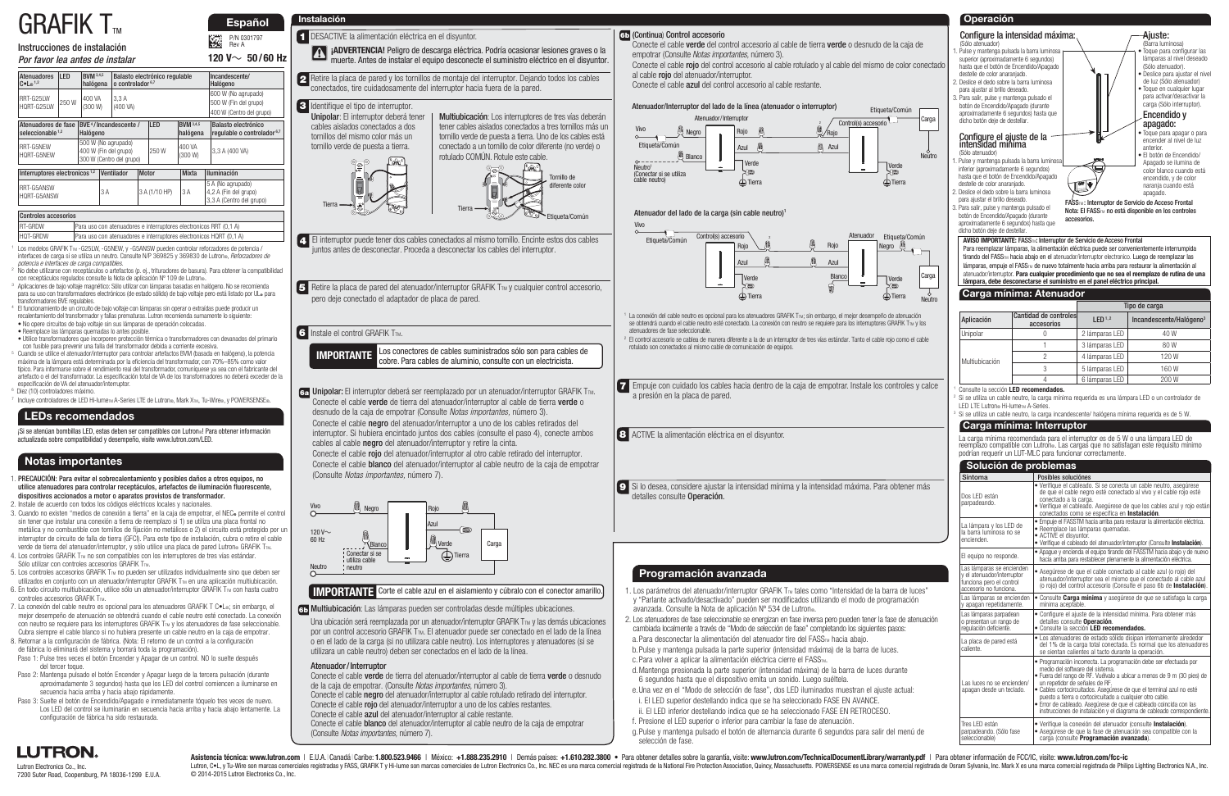# $GRAFIK$  T<sub>m</sub>

## Instrucciones de instalación

|  |  | Por favor lea antes de instalar |
|--|--|---------------------------------|
|  |  |                                 |

P/N 0301797 Rev A

E.

Lutron Electronics Co., Inc. 7200 Suter Road, Coopersburg, PA 18036-1299 E.U.A.

#### **IMPORTANTE** Corte el cable azul en el aislamiento y cúbralo con el conector amarillo.

 **Español**

**120 V** $\sim$  50/60 Hz

- 6a Unipolar: El interruptor deberá ser reemplazado por un atenuador/interruptor GRAFIK T<sub>M</sub>.
- Conecte el cable verde de tierra del atenuador/interruptor al cable de tierra verde o desnudo de la caja de empotrar (Consulte Notas importantes, número 3). Conecte el cable negro del atenuador/interruptor a uno de los cables retirados del interruptor. Si hubiera encintado juntos dos cables (consulte el paso 4), conecte ambos cables al cable negro del atenuador/interruptor y retire la cinta.

Conecte el cable rojo del atenuador/interruptor al otro cable retirado del interruptor. Conecte el cable blanco del atenuador/interruptor al cable neutro de la caja de empotrar (Consulte Notas importantes, número 7).

2 Retire la placa de pared y los tornillos de montaje del interruptor. Dejando todos los cables conectados, tire cuidadosamente del interruptor hacia fuera de la pared.

- El interruptor puede tener dos cables conectados al mismo tornillo. Encinte estos dos cables **4** juntos antes de desconectar. Proceda a desconectar los cables del interruptor.
- 5 Retire la placa de pared del atenuador/interruptor GRAFIK T<sub>TM</sub> y cualquier control accesorio, pero deje conectado el adaptador de placa de pared.

#### **6** Instale el control GRAFIK TTM.

Multiubicación: Los interruptores de tres vías deberán tener cables aislados conectados a tres tornillos más un tornillo verde de puesta a tierra. Uno de los cables está conectado a un tornillo de color diferente (no verde) o rotulado COMÚN. Rotule este cable.

Tierra





#### **1** DESACTIVE la alimentación eléctrica en el disyuntor.



Una ubicación será reemplazada por un atenuador/interruptor GRAFIK  $T_{TM}$  v las demás ubicaciones por un control accesorio GRAFIK T<sub>TM</sub>. El atenuador puede ser conectado en el lado de la línea o en el lado de la carga (si no utilizara cable neutro). Los interruptores y atenuadores (si se utilizara un cable neutro) deben ser conectados en el lado de la línea.

**IMPORTANTE** Los conectores de cables suministrados sólo son para cables de cobre. Para cables de aluminio, consulte con un electricista.

#### Identifique el tipo de interruptor. **3**

Asistencia técnica: www.lutron.com | E.U.A. | Canadá | Caribe: 1.800.523.9466 | México: +1.888.235.2910 | Demás países: +1.610.282.3800 . Para obtener detalles sobre la garantía, visite: www.lutron.com/TechnicalDocumentLib Lutron, C.L. y Tu-Wire son marcas comerciales registradas y FASS, GRAFIK T y Hi-lume son marcas comerciales de Lutron Electronics Co., Inc. NEC es una marca comercial registrada de la National Fire Protection Association, © 2014-2015 Lutron Electronics Co., Inc.

| רטטוונוטוסט מטטקסטווטט |                                                                    |
|------------------------|--------------------------------------------------------------------|
| <b>RT-GRDW</b>         | [Para uso con atenuadores e interruptores electronicos RRT (0,1 A) |
| HQT-GRDW               | Para uso con atenuadores e interruptores electronicos HQRT (0.1 A) |

- <sup>1</sup> Los modelos GRAFIK TTM -G25LW, -G5NEW, y -G5ANSW pueden controlar reforzadores de potencia / interfaces de carga si se utiliza un neutro. Consulte N/P 369825 y 369830 de Lutron®, Reforzadores de potencia e interfaces de carga compatibles.
- No debe utilizarse con receptáculos o artefactos (p. ej., trituradores de basura). Para obtener la compatibilidad<br>con receptáculos regulados consulte la Nota de aplicación Nº 109 de Lutron®.
- Aplicaciones de bajo voltaje magnético: Sólo utilizar con lámparas basadas en halógeno. No se recomienda para su uso con transformadores electrónicos (de estado sólido) de bajo voltaje pero está listado por UL. para<br>transformadores BVE regulables. transformadores BVE regulables. 4 El funcionamiento de un circuito de bajo voltaje con lámparas sin operar o extraídas puede producir un
- recalentamiento del transformador y fallas prematuras. Lutron recomienda sumamente lo siguiente:
- No opere circuitos de bajo voltaje sin sus lámparas de operación colocadas.
- Reemplace las lámparas quemadas lo antes posible.
- Utilice transformadores que incorporen protección térmica o transformadores con devanados del primario con fusible para prevenir una falla del transformador debida a corriente excesiva.
- Cuando se utilice el atenuador/interruptor para controlar artefactos BVM (basada en halógeno), la potencia máxima de la lámpara está determinada por la eficiencia del transformador, con 70%–85% como valor típico. Para informarse sobre el rendimiento real del transformador, comuníquese ya sea con el fabricante del artefacto o el del transformador. La especificación total de VA de los transformadores no deberá exceder de la especificación de VA del atenuador/interruptor.
- 6 Diez (10) controladores máximo.
- Incluye controladores de LED Hi-lumeTM A-Series LTE de Lutron®, Mark XTM, Tu-Wire®, y POWERSENSE®.
- atenuadores de fase seleccionable.
- rotulado son conectados al mismo cable de comunicación de equipos.
- 

empotrar (Consulte Notas importantes, número 3).

al cable **rojo** del atenuador/interruptor.

#### **Instalación**

#### Multiubicación: Las lámparas pueden ser controladas desde múltiples ubicaciones. **6b**

| <b>Atenuadores</b><br>$C \cdot L_2$ <sup>1,2</sup>      | LED                         | <b>RVM</b> 3,4,5<br>halógena                 |                                                                          | Balasto electrónico regulable<br>$o$ controlador <sup>6,7</sup> |              |               |                              |  | Incandescente/<br>Halógeno                                               |
|---------------------------------------------------------|-----------------------------|----------------------------------------------|--------------------------------------------------------------------------|-----------------------------------------------------------------|--------------|---------------|------------------------------|--|--------------------------------------------------------------------------|
| RRT-G25IW<br>HORT-G25IW                                 | 250W                        | 400 VA<br>(300 W)                            |                                                                          | 3.3 A<br>(400 VA)                                               |              |               |                              |  | 600 W (No agrupado)<br>500 W (Fin del grupo)<br>400 W (Centro del grupo) |
| Atenuadores de fase<br>seleccionable $1,2$              |                             | BVE <sup>4</sup> /Incandescente/<br>Halógeno |                                                                          |                                                                 |              | LED           | <b>BVM</b> 3,4,5<br>halógena |  | Balasto electrónico<br>regulable o controlador <sup>6,7</sup>            |
| RRT-G5NFW<br>HQRT-G5NEW                                 |                             |                                              | 500 W (No agrupado)<br>400 W (Fin del grupo)<br>300 W (Centro del grupo) |                                                                 |              | 250 W         | 400 VA<br>(300 W)            |  | 3,3 A (400 VA)                                                           |
| Interruptores electronicos <sup>1,2</sup><br>Ventilador |                             |                                              | Motor                                                                    |                                                                 | <b>Mixta</b> |               | <b>Iluminación</b>           |  |                                                                          |
| RRT-G5ANSW<br>HQRT-G5ANSW                               |                             |                                              | 3 A                                                                      |                                                                 |              | 3 A (1/10 HP) | 3A                           |  | 5 A (No agrupado)<br>4,2 A (Fin del grupo)<br>3,3 A (Centro del grupo)   |
|                                                         | <b>Controles accesorios</b> |                                              |                                                                          |                                                                 |              |               |                              |  |                                                                          |

**8** ACTIVE la alimentación eléctrica en el disyuntor.

¡Si se atenúan bombillas LED, estas deben ser compatibles con Lutron®! Para obtener información actualizada sobre compatibilidad y desempeño, visite www.lutron.com/LED.

Unipolar: El interruptor deberá tener cables aislados conectados a dos tornillos del mismo color más un tornillo verde de puesta a tierra.

**1 jADVERTENCIA!** Peligro de descarga eléctrica. Podría ocasionar lesiones graves o la muerte. Antes de instalar el equipo desconecte el suministro eléctrico en el disyuntor.

- Conecte el cable **verde** de tierra del atenuador/interruptor al cable de tierra **verde** o desnudo de la caja de empotrar. (Consulte Notas importantes, número 3).
- Conecte el cable negro del atenuador/interruptor al cable rotulado retirado del interruptor.
- Conecte el cable rojo del atenuador/interruptor a uno de los cables restantes.
- Conecte el cable azul del atenuador/interruptor al cable restante.
- Conecte el cable **blanco** del atenuador/interruptor al cable neutro de la caja de empotrar (Consulte Notas importantes, número 7).

- 1. PRECAUCIÓN: Para evitar el sobrecalentamiento y posibles daños a otros equipos, no utilice atenuadores para controlar receptáculos, artefactos de iluminación fluorescente, dispositivos accionados a motor o aparatos provistos de transformador.
- 2. Instale de acuerdo con todos los códigos eléctricos locales y nacionales. 3. Cuando no existen "medios de conexión a tierra" en la caja de empotrar, el NEC» permite el control sin tener que instalar una conexión a tierra de reemplazo si 1) se utiliza una placa frontal no metálica y no combustible con tornillos de fijación no metálicos o 2) el circuito está protegido por un interruptor de circuito de falla de tierra (GFCI). Para este tipo de instalación, cubra o retire el cable
- verde de tierra del atenuador/interruptor, y sólo utilice una placa de pared Lutron® GRAFIK Tm. 4. Los controles GRAFIK T<sub>™</sub> no son compatibles con los interruptores de tres vías estándar. Sólo utilizar con controles accesorios GRAFIK  $T_{\text{TM}}$ .
- 5. Los controles accesorios GRAFIK T<sub>TM</sub> no pueden ser utilizados individualmente sino que deben ser utilizados en conjunto con un atenuador/interruptor GRAFIK T<sub>M</sub> en una aplicación multiubicación.
- 6. En todo circuito multiubicación, utilice sólo un atenuador/interruptor GRAFIK  $T<sub>m</sub>$  con hasta cuatro controles accesorios GRAFIK  $T<sub>TM</sub>$ .
- 7. La conexión del cable neutro es opcional para los atenuadores GRAFIK T C•L®; sin embargo, el mejor desempeño de atenuación se obtendrá cuando el cable neutro esté conectado. La conexión con neutro se requiere para los interruptores GRAFIK T<sub>M</sub> y los atenuadores de fase seleccionable. Cubra siempre el cable blanco si no hubiera presente un cable neutro en la caja de empotrar.
- 8. Retornar a la configuración de fábrica. (Nota: El retorno de un control a la configuración de fábrica lo eliminará del sistema y borrará toda la programación).
- Paso 1: Pulse tres veces el botón Encender y Apagar de un control. NO lo suelte después del tercer toque.
- Paso 2: Mantenga pulsado el botón Encender y Apagar luego de la tercera pulsación (durante aproximadamente 3 segundos) hasta que los LED del control comiencen a iluminarse en secuencia hacia arriba y hacia abajo rápidamente.
- Paso 3: Suelte el botón de Encendido/Apagado e inmediatamente tóquelo tres veces de nuevo. Los LED del control se iluminarán en secuencia hacia arriba y hacia abajo lentamente. La configuración de fábrica ha sido restaurada.





## **Notas importantes**

#### **LEDs recomendados**

- avanzada. Consulte la Nota de aplicación Nº 534 de Lutron®.
- a. Para desconectar la alimentación del atenuador tire del FASS<sub>TM</sub> hacia abajo.
- c. Para volver a aplicar la alimentación eléctrica cierre el FASS<sub>TM</sub>.
- 
- 
- 
- f. Presione el LED superior o inferior para cambiar la fase de atenuación.
- g. Pulse y mantenga pulsado el botón de alternancia durante 6 segundos para salir del menú de selección de fase.

## **LUTRON.**

#### Atenuador / Interruptor

**Operación**

sleccionable)